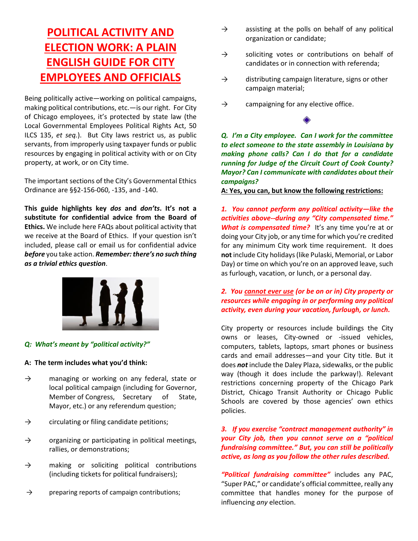# **POLITICAL ACTIVITY AND ELECTION WORK: A PLAIN ENGLISH GUIDE FOR CITY EMPLOYEES AND OFFICIALS**

Being politically active—working on political campaigns, making political contributions, etc.—is our right. For City of Chicago employees, it's protected by state law (the Local Governmental Employees Political Rights Act, 50 ILCS 135, *et seq.*). But City laws restrict us, as public servants, from improperly using taxpayer funds or public resources by engaging in political activity with or on City property, at work, or on City time.

The important sections of the City's Governmental Ethics Ordinance are §§2-156-060, -135, and -140.

**This guide highlights key** *dos* **and** *don'ts***. It's not a substitute for confidential advice from the Board of Ethics.** We include here FAQs about political activity that we receive at the Board of Ethics. If your question isn't included, please call or email us for confidential advice *before* you take action. *Remember: there's no such thing as a trivial ethics question*.



### *Q: What's meant by "political activity?"*

#### **A: The term includes what you'd think:**

- $\rightarrow$  managing or working on any federal, state or local political campaign (including for Governor, Member of Congress, Secretary of State, Mayor, etc.) or any referendum question;
- $\rightarrow$  circulating or filing candidate petitions;
- $\rightarrow$  organizing or participating in political meetings, rallies, or demonstrations;
- $\rightarrow$  making or soliciting political contributions (including tickets for political fundraisers);
- $\rightarrow$  preparing reports of campaign contributions;
- $\rightarrow$  assisting at the polls on behalf of any political organization or candidate;
- $\rightarrow$  soliciting votes or contributions on behalf of candidates or in connection with referenda;
- $\rightarrow$  distributing campaign literature, signs or other campaign material;
- $\rightarrow$  campaigning for any elective office.

*Q. I'm a City employee. Can I work for the committee to elect someone to the state assembly in Louisiana by making phone calls? Can I do that for a candidate running for Judge of the Circuit Court of Cook County? Mayor? Can I communicate with candidates about their campaigns?*

**A: Yes, you can, but know the following restrictions:**

*1.**You cannot perform any political activity—like the activities above--during any "City compensated time."* *What is compensated time?* It's any time you're at or doing your City job, or any time for which you're credited for any minimum City work time requirement. It does **not** include City holidays (like Pulaski, Memorial, or Labor Day) or time on which you're on an approved leave, such as furlough, vacation, or lunch, or a personal day.

### *2. You cannot ever use (or be on or in) City property or resources while engaging in or performing any political activity, even during your vacation, furlough, or lunch.*

City property or resources include buildings the City owns or leases, City-owned or -issued vehicles, computers, tablets, laptops, smart phones or business cards and email addresses—and your City title. But it does *not* include the Daley Plaza, sidewalks, or the public way (though it does include the parkway!). Relevant restrictions concerning property of the Chicago Park District, Chicago Transit Authority or Chicago Public Schools are covered by those agencies' own ethics policies.

#### *3. If you exercise "contract management authority" in your City job, then you cannot serve on a "political fundraising committee." But, you can still be politically active, as long as you follow the other rules described.*

*"Political fundraising committee"* includes any PAC, "Super PAC," or candidate's official committee, really any committee that handles money for the purpose of influencing *any* election.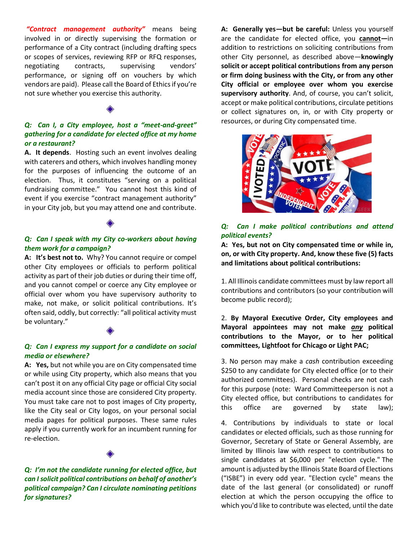*"Contract management authority"* means being involved in or directly supervising the formation or performance of a City contract (including drafting specs or scopes of services, reviewing RFP or RFQ responses, negotiating contracts, supervising vendors' performance, or signing off on vouchers by which vendors are paid). Please call the Board of Ethics if you're not sure whether you exercise this authority.

#### *Q: Can I, a City employee, host a "meet-and-greet" gathering for a candidate for elected office at my home or a restaurant?*

**A. It depends**. Hosting such an event involves dealing with caterers and others, which involves handling money for the purposes of influencing the outcome of an election. Thus, it constitutes "serving on a political fundraising committee." You cannot host this kind of event if you exercise "contract management authority" in your City job, but you may attend one and contribute.

#### *Q: Can I speak with my City co-workers about having them work for a campaign?*

**A: It's best not to.** Why? You cannot require or compel other City employees or officials to perform political activity as part of their job duties or during their time off, and you cannot compel or coerce any City employee or official over whom you have supervisory authority to make, not make, or solicit political contributions. It's often said, oddly, but correctly: "all political activity must be voluntary."

#### *Q: Can I express my support for a candidate on social media or elsewhere?*

**A: Yes,** but not while you are on City compensated time or while using City property, which also means that you can't post it on any official City page or official City social media account since those are considered City property. You must take care not to post images of City property, like the City seal or City logos, on your personal social media pages for political purposes. These same rules apply if you currently work for an incumbent running for re-election.

*Q: I'm not the candidate running for elected office, but can I solicit political contributions on behalf of another's political campaign? Can I circulate nominating petitions for signatures?*

**A: Generally yes—but be careful:** Unless you yourself are the candidate for elected office, you **cannot***—*in addition to restrictions on soliciting contributions from other City personnel, as described above—**knowingly solicit or accept political contributions from any person or firm doing business with the City, or from any other City official or employee over whom you exercise supervisory authority**. And, of course, you can't solicit, accept or make political contributions, circulate petitions or collect signatures on, in, or with City property or resources, or during City compensated time.



### *Q: Can I make political contributions and attend political events?*

**A: Yes, but not on City compensated time or while in, on, or with City property. And, know these five (5) facts and limitations about political contributions:**

1. All Illinois candidate committees must by law report all contributions and contributors (so your contribution will become public record);

2. **By Mayoral Executive Order, City employees and Mayoral appointees may not make** *any* **political contributions to the Mayor, or to her political committees, Lightfoot for Chicago or Light PAC;**

3. No person may make a *cash* contribution exceeding \$250 to any candidate for City elected office (or to their authorized committees). Personal checks are not cash for this purpose (note: Ward Committeeperson is not a City elected office, but contributions to candidates for this office are governed by state law);

4. Contributions by individuals to state or local candidates or elected officials, such as those running for Governor, Secretary of State or General Assembly, are limited by Illinois law with respect to contributions to single candidates at \$6,000 per "election cycle." The amount is adjusted by the Illinois State Board of Elections ("ISBE") in every odd year. "Election cycle" means the date of the last general (or consolidated) or runoff election at which the person occupying the office to which you'd like to contribute was elected, until the date